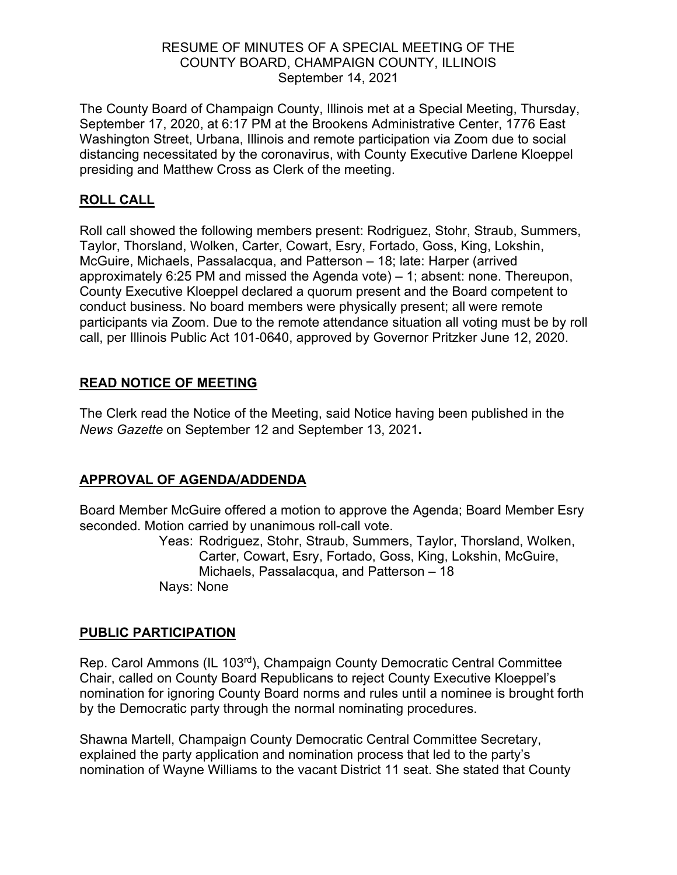#### RESUME OF MINUTES OF A SPECIAL MEETING OF THE COUNTY BOARD, CHAMPAIGN COUNTY, ILLINOIS September 14, 2021

The County Board of Champaign County, Illinois met at a Special Meeting, Thursday, September 17, 2020, at 6:17 PM at the Brookens Administrative Center, 1776 East Washington Street, Urbana, Illinois and remote participation via Zoom due to social distancing necessitated by the coronavirus, with County Executive Darlene Kloeppel presiding and Matthew Cross as Clerk of the meeting.

## **ROLL CALL**

Roll call showed the following members present: Rodriguez, Stohr, Straub, Summers, Taylor, Thorsland, Wolken, Carter, Cowart, Esry, Fortado, Goss, King, Lokshin, McGuire, Michaels, Passalacqua, and Patterson – 18; late: Harper (arrived approximately 6:25 PM and missed the Agenda vote) – 1; absent: none. Thereupon, County Executive Kloeppel declared a quorum present and the Board competent to conduct business. No board members were physically present; all were remote participants via Zoom. Due to the remote attendance situation all voting must be by roll call, per Illinois Public Act 101-0640, approved by Governor Pritzker June 12, 2020.

# **READ NOTICE OF MEETING**

The Clerk read the Notice of the Meeting, said Notice having been published in the *News Gazette* on September 12 and September 13, 2021**.**

# **APPROVAL OF AGENDA/ADDENDA**

Board Member McGuire offered a motion to approve the Agenda; Board Member Esry seconded. Motion carried by unanimous roll-call vote.

Yeas: Rodriguez, Stohr, Straub, Summers, Taylor, Thorsland, Wolken, Carter, Cowart, Esry, Fortado, Goss, King, Lokshin, McGuire, Michaels, Passalacqua, and Patterson – 18 Nays: None

#### **PUBLIC PARTICIPATION**

Rep. Carol Ammons (IL 103<sup>rd</sup>), Champaign County Democratic Central Committee Chair, called on County Board Republicans to reject County Executive Kloeppel's nomination for ignoring County Board norms and rules until a nominee is brought forth by the Democratic party through the normal nominating procedures.

Shawna Martell, Champaign County Democratic Central Committee Secretary, explained the party application and nomination process that led to the party's nomination of Wayne Williams to the vacant District 11 seat. She stated that County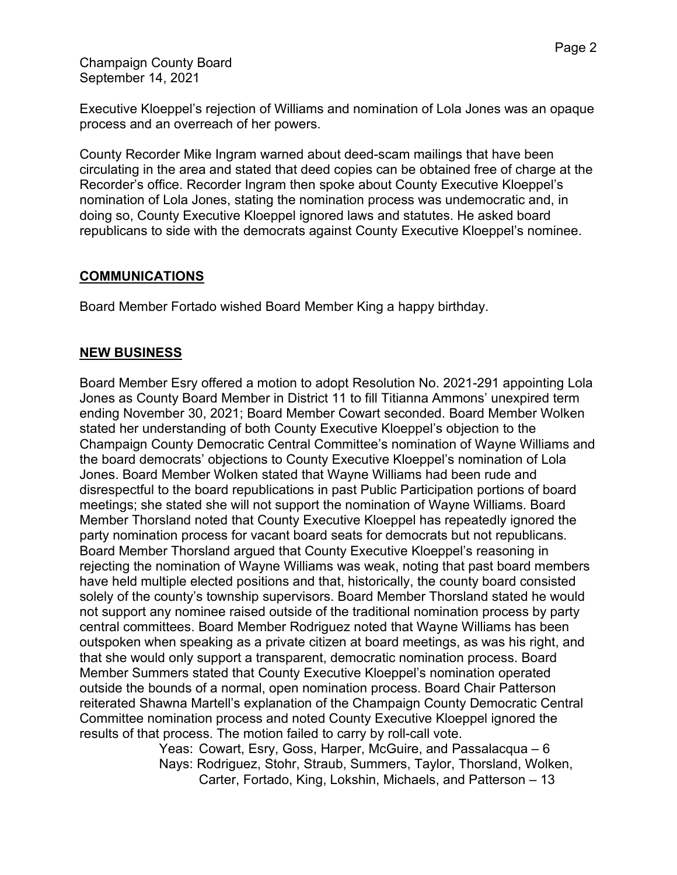Champaign County Board September 14, 2021

Executive Kloeppel's rejection of Williams and nomination of Lola Jones was an opaque process and an overreach of her powers.

County Recorder Mike Ingram warned about deed-scam mailings that have been circulating in the area and stated that deed copies can be obtained free of charge at the Recorder's office. Recorder Ingram then spoke about County Executive Kloeppel's nomination of Lola Jones, stating the nomination process was undemocratic and, in doing so, County Executive Kloeppel ignored laws and statutes. He asked board republicans to side with the democrats against County Executive Kloeppel's nominee.

#### **COMMUNICATIONS**

Board Member Fortado wished Board Member King a happy birthday.

#### **NEW BUSINESS**

Board Member Esry offered a motion to adopt Resolution No. 2021-291 appointing Lola Jones as County Board Member in District 11 to fill Titianna Ammons' unexpired term ending November 30, 2021; Board Member Cowart seconded. Board Member Wolken stated her understanding of both County Executive Kloeppel's objection to the Champaign County Democratic Central Committee's nomination of Wayne Williams and the board democrats' objections to County Executive Kloeppel's nomination of Lola Jones. Board Member Wolken stated that Wayne Williams had been rude and disrespectful to the board republications in past Public Participation portions of board meetings; she stated she will not support the nomination of Wayne Williams. Board Member Thorsland noted that County Executive Kloeppel has repeatedly ignored the party nomination process for vacant board seats for democrats but not republicans. Board Member Thorsland argued that County Executive Kloeppel's reasoning in rejecting the nomination of Wayne Williams was weak, noting that past board members have held multiple elected positions and that, historically, the county board consisted solely of the county's township supervisors. Board Member Thorsland stated he would not support any nominee raised outside of the traditional nomination process by party central committees. Board Member Rodriguez noted that Wayne Williams has been outspoken when speaking as a private citizen at board meetings, as was his right, and that she would only support a transparent, democratic nomination process. Board Member Summers stated that County Executive Kloeppel's nomination operated outside the bounds of a normal, open nomination process. Board Chair Patterson reiterated Shawna Martell's explanation of the Champaign County Democratic Central Committee nomination process and noted County Executive Kloeppel ignored the results of that process. The motion failed to carry by roll-call vote.

Yeas: Cowart, Esry, Goss, Harper, McGuire, and Passalacqua – 6 Nays: Rodriguez, Stohr, Straub, Summers, Taylor, Thorsland, Wolken, Carter, Fortado, King, Lokshin, Michaels, and Patterson – 13